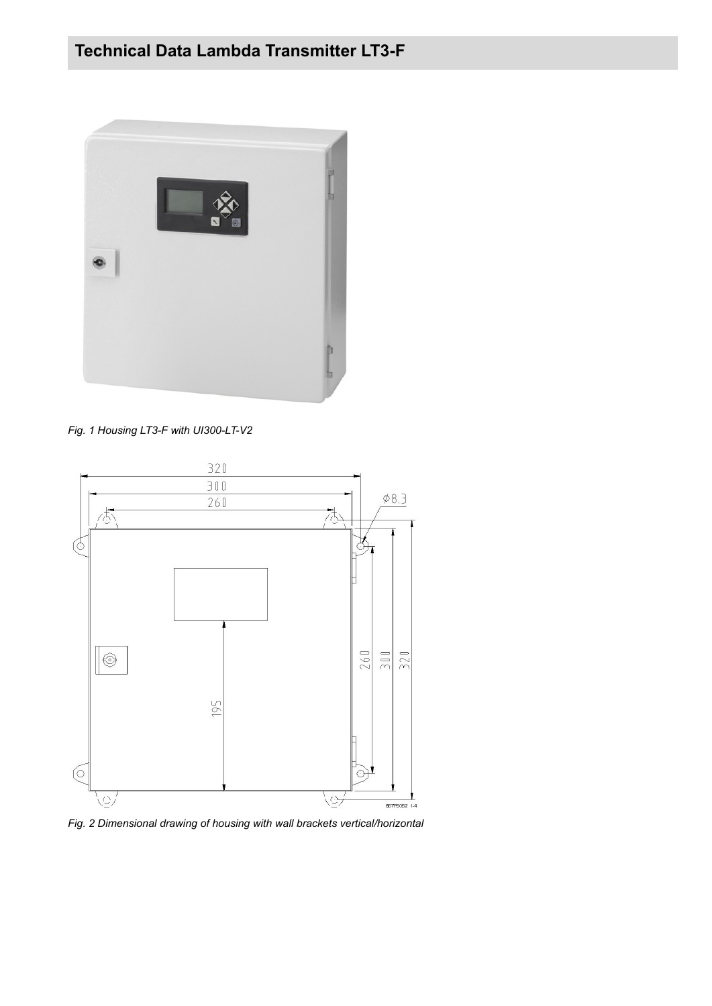

*Fig. 1 Housing LT3-F with UI300-LT-V2*



*Fig. 2 Dimensional drawing of housing with wall brackets vertical/horizontal*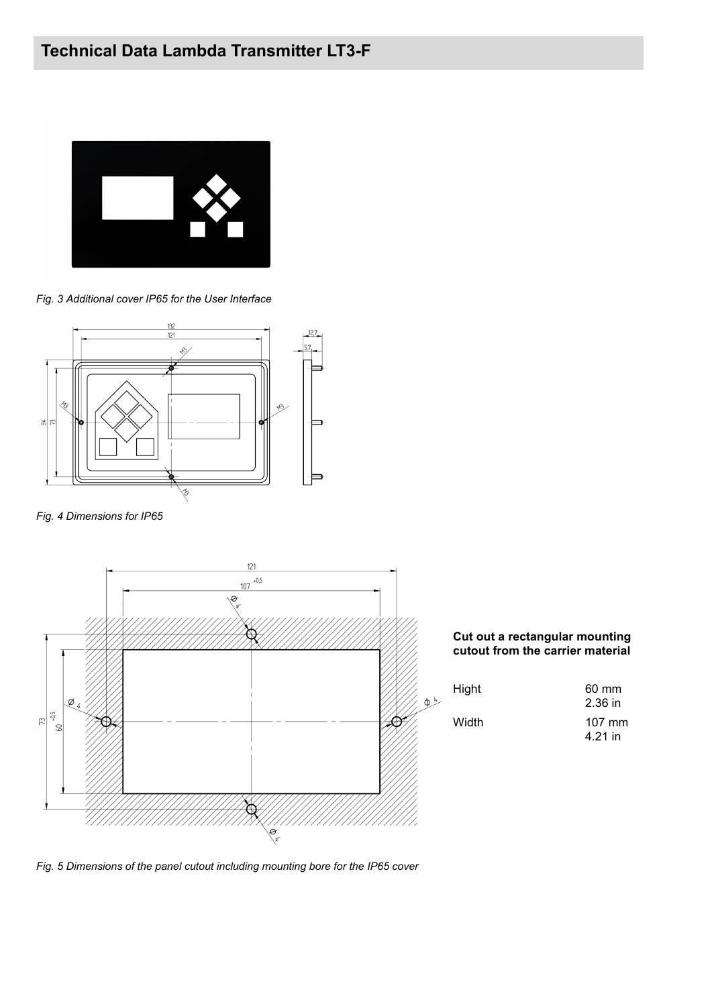

*Fig. 3 Additional cover IP65 for the User Interface*



*Fig. 4 Dimensions for IP65*



*Fig. 5 Dimensions of the panel cutout including mounting bore for the IP65 cover*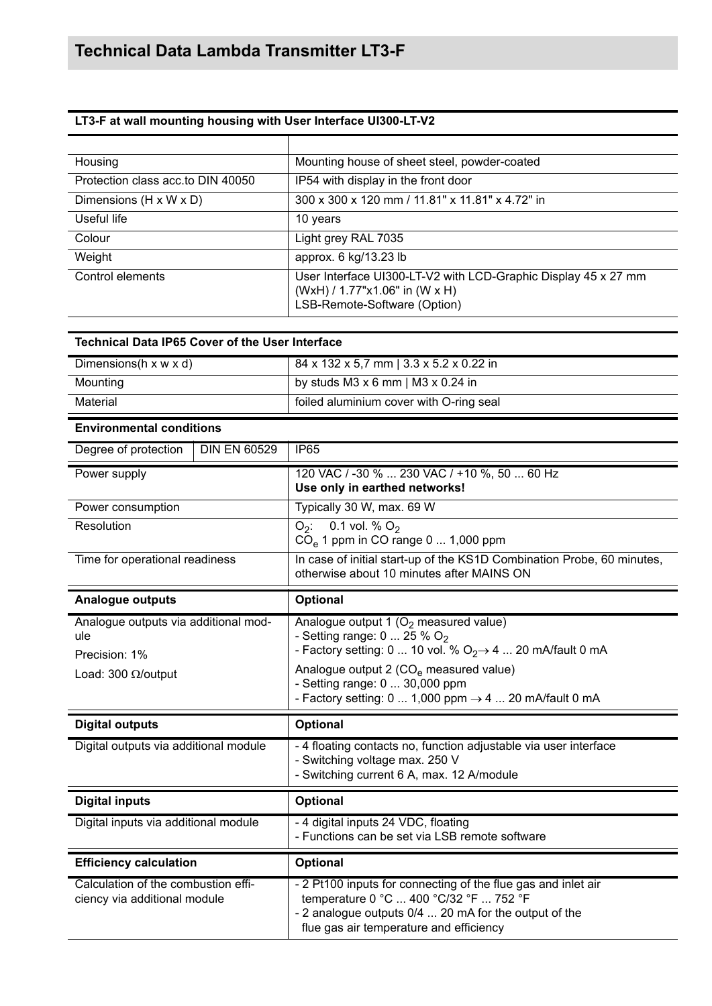## **LT3-F at wall mounting housing with User Interface UI300-LT-V2**

| Housing                           | Mounting house of sheet steel, powder-coated                                                                                     |
|-----------------------------------|----------------------------------------------------------------------------------------------------------------------------------|
| Protection class acc.to DIN 40050 | IP54 with display in the front door                                                                                              |
| Dimensions (H x W x D)            | 300 x 300 x 120 mm / 11.81" x 11.81" x 4.72" in                                                                                  |
| Useful life                       | 10 years                                                                                                                         |
| Colour                            | Light grey RAL 7035                                                                                                              |
| Weight                            | approx. 6 kg/13.23 lb                                                                                                            |
| Control elements                  | User Interface UI300-LT-V2 with LCD-Graphic Display 45 x 27 mm<br>(WxH) / 1.77"x1.06" in (W x H)<br>LSB-Remote-Software (Option) |

| <b>Technical Data IP65 Cover of the User Interface</b>              |                                                                                                                                                                                                             |  |  |  |
|---------------------------------------------------------------------|-------------------------------------------------------------------------------------------------------------------------------------------------------------------------------------------------------------|--|--|--|
| Dimensions(h x w x d)                                               | 84 x 132 x 5,7 mm   3.3 x 5.2 x 0.22 in                                                                                                                                                                     |  |  |  |
| Mounting                                                            | by studs M3 x 6 mm   M3 x 0.24 in                                                                                                                                                                           |  |  |  |
| Material                                                            | foiled aluminium cover with O-ring seal                                                                                                                                                                     |  |  |  |
| <b>Environmental conditions</b>                                     |                                                                                                                                                                                                             |  |  |  |
| Degree of protection<br><b>DIN EN 60529</b>                         | <b>IP65</b>                                                                                                                                                                                                 |  |  |  |
| Power supply                                                        | 120 VAC / -30 %  230 VAC / +10 %, 50  60 Hz<br>Use only in earthed networks!                                                                                                                                |  |  |  |
| Power consumption                                                   | Typically 30 W, max. 69 W                                                                                                                                                                                   |  |  |  |
| Resolution                                                          | 0.1 vol. % $O_2$<br>$O_2$ :<br>$COe$ 1 ppm in CO range 0  1,000 ppm                                                                                                                                         |  |  |  |
| Time for operational readiness                                      | In case of initial start-up of the KS1D Combination Probe, 60 minutes,<br>otherwise about 10 minutes after MAINS ON                                                                                         |  |  |  |
| Analogue outputs                                                    | Optional                                                                                                                                                                                                    |  |  |  |
| Analogue outputs via additional mod-<br>ule<br>Precision: 1%        | Analogue output 1 $(O2$ measured value)<br>- Setting range: $0 \dots 25 \% O_2$<br>- Factory setting: 0  10 vol. % $O_2 \rightarrow 4$ 20 mA/fault 0 mA                                                     |  |  |  |
| Load: 300 $\Omega$ /output                                          | Analogue output 2 (CO <sub>e</sub> measured value)<br>- Setting range: 0  30,000 ppm<br>- Factory setting: $0 \dots 1,000$ ppm $\rightarrow 4 \dots 20$ mA/fault 0 mA                                       |  |  |  |
| <b>Digital outputs</b>                                              | Optional                                                                                                                                                                                                    |  |  |  |
| Digital outputs via additional module                               | - 4 floating contacts no, function adjustable via user interface<br>- Switching voltage max. 250 V<br>- Switching current 6 A, max. 12 A/module                                                             |  |  |  |
| <b>Digital inputs</b>                                               | Optional                                                                                                                                                                                                    |  |  |  |
| Digital inputs via additional module                                | - 4 digital inputs 24 VDC, floating<br>- Functions can be set via LSB remote software                                                                                                                       |  |  |  |
| <b>Efficiency calculation</b>                                       | Optional                                                                                                                                                                                                    |  |  |  |
| Calculation of the combustion effi-<br>ciency via additional module | - 2 Pt100 inputs for connecting of the flue gas and inlet air<br>temperature 0 °C  400 °C/32 °F  752 °F<br>- 2 analogue outputs 0/4  20 mA for the output of the<br>flue gas air temperature and efficiency |  |  |  |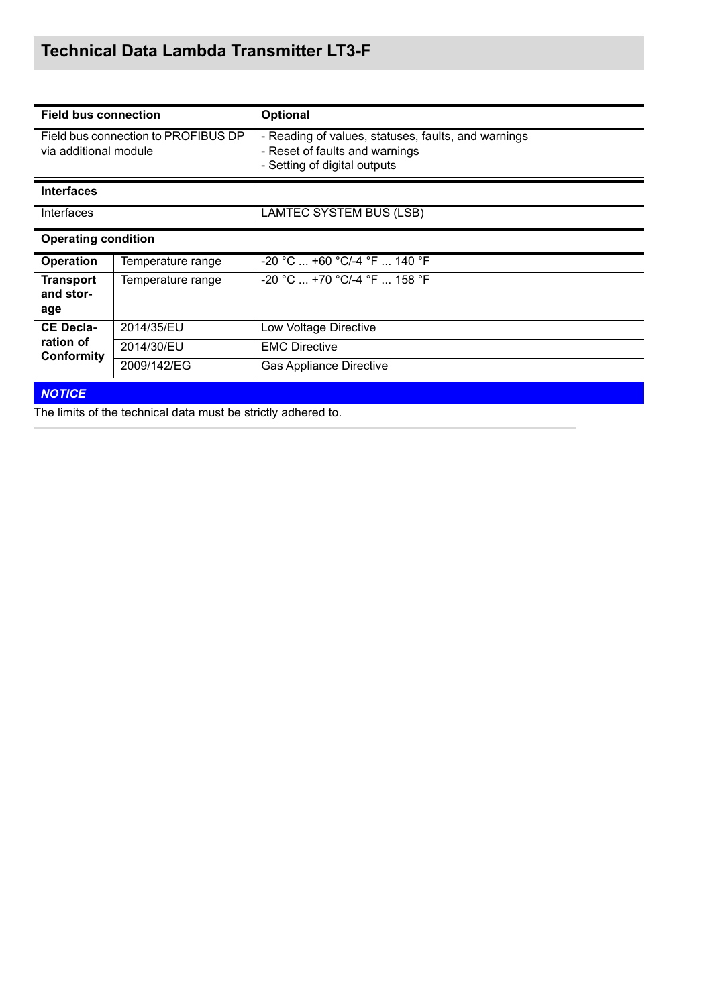| <b>Field bus connection</b>                 |                                     | <b>Optional</b>                                                                                                       |  |
|---------------------------------------------|-------------------------------------|-----------------------------------------------------------------------------------------------------------------------|--|
| via additional module                       | Field bus connection to PROFIBUS DP | - Reading of values, statuses, faults, and warnings<br>- Reset of faults and warnings<br>- Setting of digital outputs |  |
| <b>Interfaces</b>                           |                                     |                                                                                                                       |  |
| Interfaces                                  |                                     | LAMTEC SYSTEM BUS (LSB)                                                                                               |  |
| <b>Operating condition</b>                  |                                     |                                                                                                                       |  |
| <b>Operation</b>                            | Temperature range                   | $-20$ °C $$ +60 °C/-4 °F $$ 140 °F                                                                                    |  |
| <b>Transport</b><br>and stor-<br>age        | Temperature range                   | $-20$ °C $\ldots$ +70 °C/-4 °F $\ldots$ 158 °F                                                                        |  |
| <b>CE Decla-</b><br>ration of<br>Conformity | 2014/35/EU                          | Low Voltage Directive                                                                                                 |  |
|                                             | 2014/30/EU                          | <b>EMC Directive</b>                                                                                                  |  |
|                                             | 2009/142/EG                         | <b>Gas Appliance Directive</b>                                                                                        |  |
| $\mathbf{M}$ $\mathbf{L}$                   |                                     |                                                                                                                       |  |

*NOTICE*

The limits of the technical data must be strictly adhered to.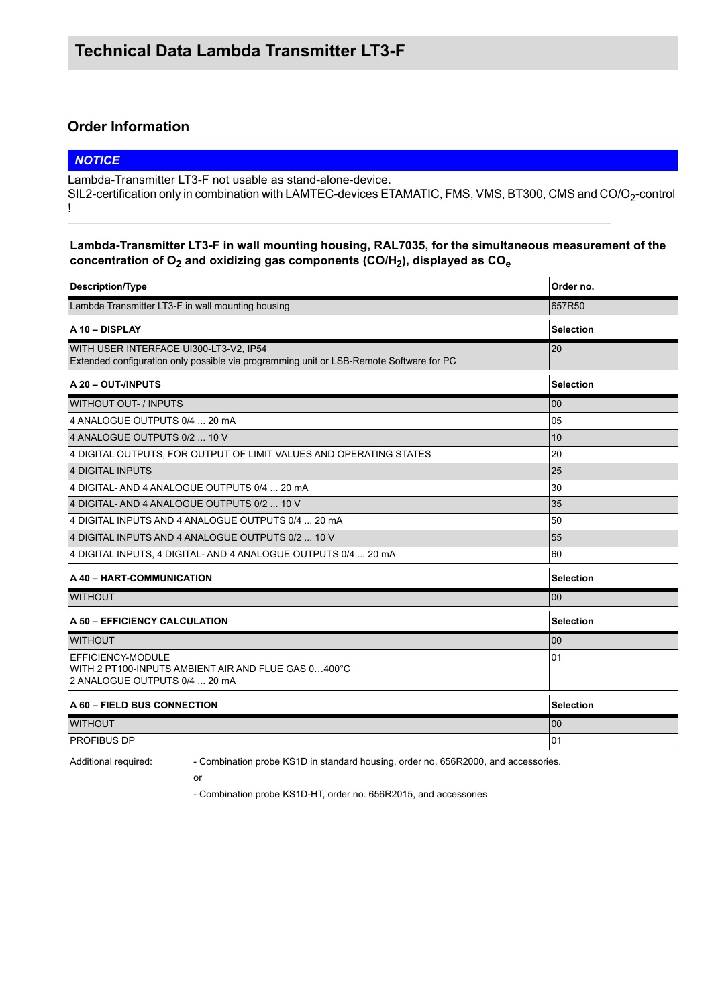## **Order Information**

## *NOTICE* Lambda-Transmitter LT3-F not usable as stand-alone-device.

SIL2-certification only in combination with LAMTEC-devices ETAMATIC, FMS, VMS, BT300, CMS and CO/O<sub>2</sub>-control !

**Lambda-Transmitter LT3-F in wall mounting housing, RAL7035, for the simultaneous measurement of the**  concentration of O<sub>2</sub> and oxidizing gas components (CO/H<sub>2</sub>), displayed as CO<sub>e</sub>

| <b>Description/Type</b>                                                                                                           | Order no.        |  |
|-----------------------------------------------------------------------------------------------------------------------------------|------------------|--|
| Lambda Transmitter LT3-F in wall mounting housing                                                                                 | 657R50           |  |
| A 10 - DISPLAY                                                                                                                    | <b>Selection</b> |  |
| WITH USER INTERFACE UI300-LT3-V2, IP54<br>Extended configuration only possible via programming unit or LSB-Remote Software for PC | 20               |  |
| A 20 - OUT-/INPUTS                                                                                                                | <b>Selection</b> |  |
| <b>WITHOUT OUT- / INPUTS</b>                                                                                                      | 00               |  |
| 4 ANALOGUE OUTPUTS 0/4  20 mA                                                                                                     | 05               |  |
| 4 ANALOGUE OUTPUTS 0/2  10 V                                                                                                      | 10               |  |
| 4 DIGITAL OUTPUTS, FOR OUTPUT OF LIMIT VALUES AND OPERATING STATES                                                                | 20               |  |
| <b>4 DIGITAL INPUTS</b>                                                                                                           | 25               |  |
| 4 DIGITAL- AND 4 ANALOGUE OUTPUTS 0/4  20 mA                                                                                      | 30               |  |
| 4 DIGITAL-AND 4 ANALOGUE OUTPUTS 0/2  10 V                                                                                        | 35               |  |
| 4 DIGITAL INPUTS AND 4 ANALOGUE OUTPUTS 0/4  20 mA                                                                                | 50               |  |
| 4 DIGITAL INPUTS AND 4 ANALOGUE OUTPUTS 0/2  10 V                                                                                 | 55               |  |
| 4 DIGITAL INPUTS, 4 DIGITAL-AND 4 ANALOGUE OUTPUTS 0/4  20 mA                                                                     | 60               |  |
| A 40 - HART-COMMUNICATION                                                                                                         | <b>Selection</b> |  |
| <b>WITHOUT</b>                                                                                                                    | 00               |  |
| A 50 - EFFICIENCY CALCULATION                                                                                                     | <b>Selection</b> |  |
| <b>WITHOUT</b>                                                                                                                    | 00               |  |
| EFFICIENCY-MODULE<br>WITH 2 PT100-INPUTS AMBIENT AIR AND FLUE GAS 0400°C<br>2 ANALOGUE OUTPUTS 0/4  20 mA                         | 01               |  |
| A 60 - FIELD BUS CONNECTION                                                                                                       | <b>Selection</b> |  |
| <b>WITHOUT</b>                                                                                                                    | 00               |  |
| <b>PROFIBUS DP</b>                                                                                                                | 01               |  |
| - Combination probe KS1D in standard housing, order no. 656R2000, and accessories.<br>Additional required:                        |                  |  |

or

- Combination probe KS1D-HT, order no. 656R2015, and accessories